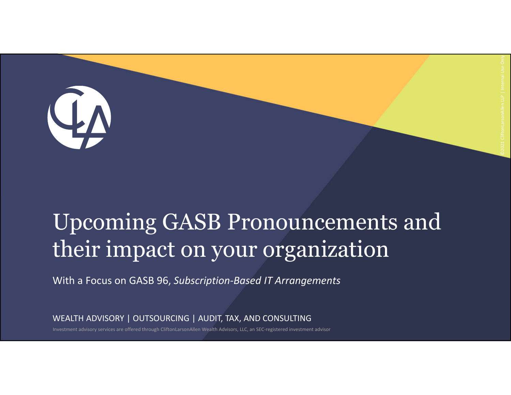### Upcoming GASB Pronouncements and their impact on your organization

With a Focus on GASB 96, *Subscription‐Based IT Arrangements*

WEALTH ADVISORY | OUTSOURCING | AUDIT, TAX, AND CONSULTING

Investment advisory services are offered through CliftonLarsonAllen Wealth Advisors, LLC, an SEC‐registered investment advisor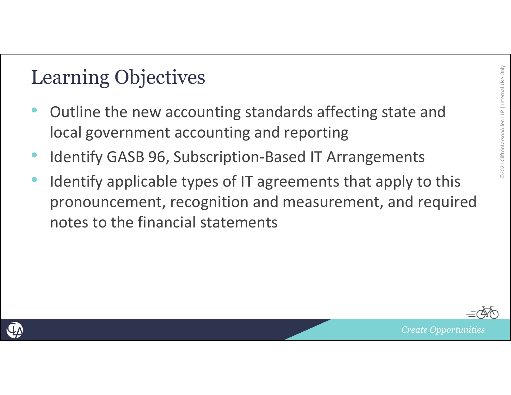### Learning Objectives

- Outline the new accounting standards affecting state and local government accounting and reporting
- •Identify GASB 96, Subscription‐Based IT Arrangements
- • Identify applicable types of IT agreements that apply to this pronouncement, recognition and measurement, and required notes to the financial statements



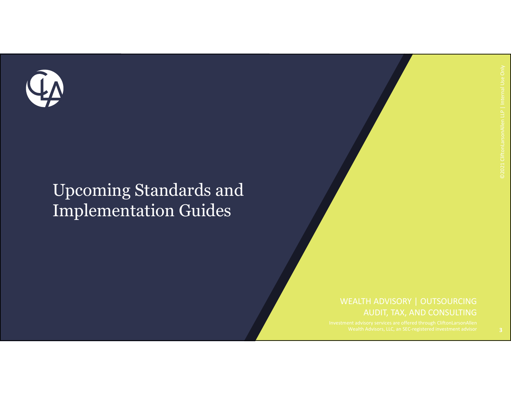

### Upcoming Standards and Implementation Guides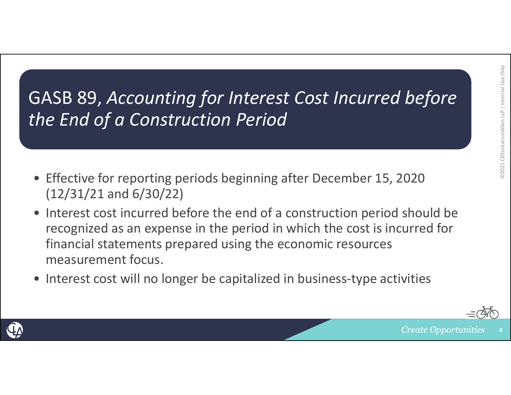GASB 89, *Accounting for Interest Cost Incurred before the End of <sup>a</sup> Construction Period*

- Effective for reporting periods beginning after December 15, 2020 (12/31/21 and 6/30/22)
- Interest cost incurred before the end of <sup>a</sup> construction period should be recognized as an expense in the period in which the cost is incurred for financial statements prepared using the economic resources measurement focus.
- Interest cost will no longer be capitalized in business‐type activities

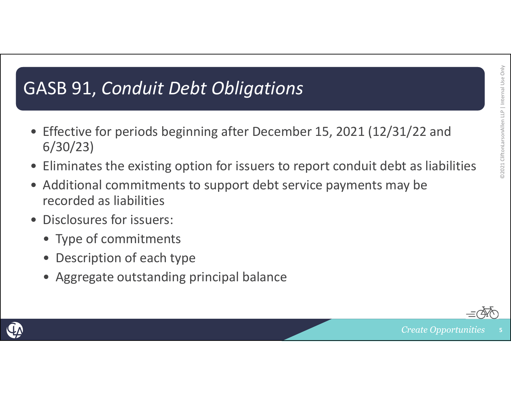### GASB 91, *Conduit Debt Obligations*

- Effective for periods beginning after December 15, 2021 (12/31/22 and 6/30/23)
- $\bullet$ Eliminates the existing option for issuers to report conduit debt as liabilities
- • Additional commitments to support debt service payments may be recorded as liabilities
- Disclosures for issuers:
	- Type of commitments
	- •Description of each type
	- Aggregate outstanding principal balance



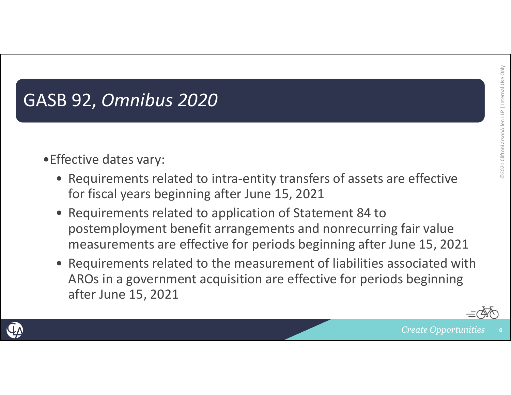### GASB 92, *Omnibus 2020*

- •Effective dates vary:
	- Requirements related to intra‐entity transfers of assets are effective for fiscal years beginning after June 15, 2021
	- Requirements related to application of Statement 84 to postemployment benefit arrangements and nonrecurring fair value measurements are effective for periods beginning after June 15, 2021
	- Requirements related to the measurement of liabilities associated with AROs in <sup>a</sup> government acquisition are effective for periods beginning after June 15, 2021



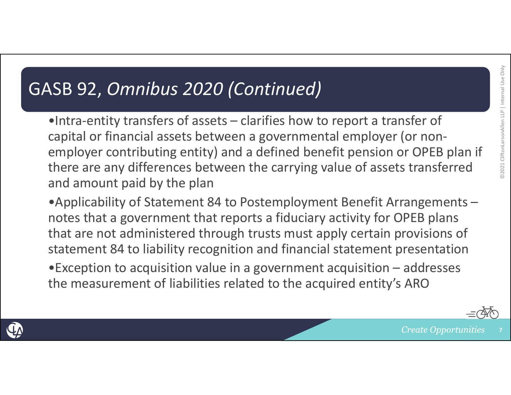### GASB 92, *Omnibus 2020 (Continued)*

•Intra-entity transfers of assets – clarifies how to report a transfer of capital or financial assets between <sup>a</sup> governmental employer (or non‐ employer contributing entity) and <sup>a</sup> defined benefit pension or OPEB plan if there are any differences between the carrying value of assets transferred and amount paid by the plan

•Applicability of Statement 84 to Postemployment Benefit Arrangements – notes that <sup>a</sup> government that reports <sup>a</sup> fiduciary activity for OPEB plans that are not administered through trusts must apply certain provisions of statement 84 to liability recognition and financial statement presentation

•Exception to acquisition value in <sup>a</sup> government acquisition – addresses the measurement of liabilities related to the acquired entity's ARO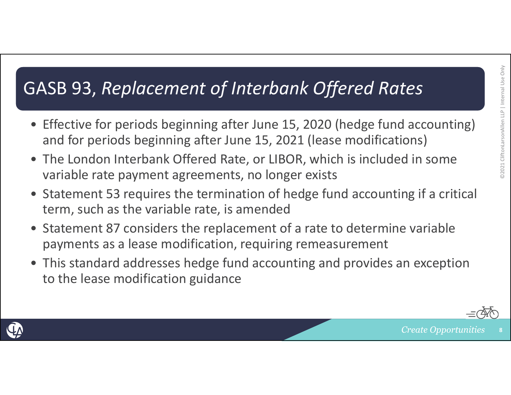### GASB 93, *Replacement of Interbank Offered Rates*

- Effective for periods beginning after June 15, 2020 (hedge fund accounting) and for periods beginning after June 15, 2021 (lease modifications)
- The London Interbank Offered Rate, or LIBOR, which is included in some variable rate payment agreements, no longer exists
- Statement 53 requires the termination of hedge fund accounting if <sup>a</sup> critical term, such as the variable rate, is amended
- Statement 87 considers the replacement of <sup>a</sup> rate to determine variable payments as <sup>a</sup> lease modification, requiring remeasurement
- This standard addresses hedge fund accounting and provides an exception to the lease modification guidance



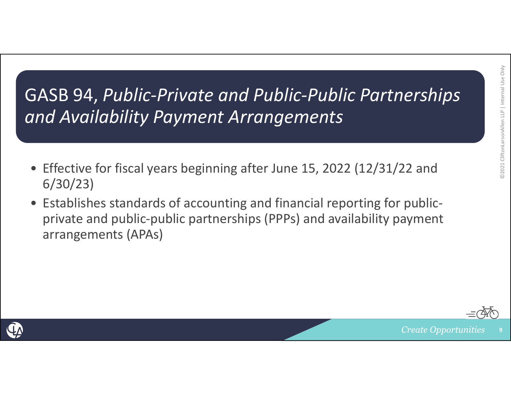### GASB 94, *Public‐Private and Public‐Public Partnerships and Availability Payment Arrangements*

- Effective for fiscal years beginning after June 15, 2022 (12/31/22 and 6/30/23)
- Establishes standards of accounting and financial reporting for public‐ private and public‐public partnerships (PPPs) and availability payment arrangements (APAs)



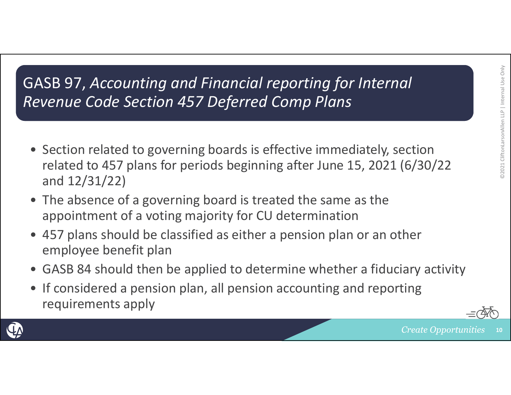### GASB 97, *Accounting and Financial reporting for Internal Revenue Code Section 457 Deferred Comp Plans*

- Section related to governing boards is effective immediately, section related to 457 plans for periods beginning after June 15, 2021 (6/30/22 and 12/31/22)
- The absence of <sup>a</sup> governing board is treated the same as the appointment of <sup>a</sup> voting majority for CU determination
- 457 plans should be classified as either <sup>a</sup> pension plan or an other employee benefit plan
- GASB 84 should then be applied to determine whether <sup>a</sup> fiduciary activity
- If considered <sup>a</sup> pension plan, all pension accounting and reporting requirements apply



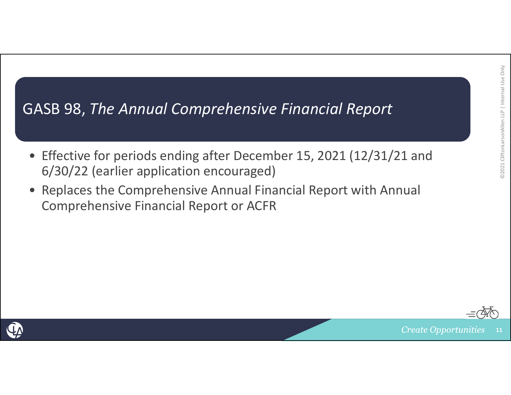### GASB 98, *The Annual Comprehensive Financial Report*

- Effective for periods ending after December 15, 2021 (12/31/21 and 6/30/22 (earlier application encouraged)
- Replaces the Comprehensive Annual Financial Report with Annual Comprehensive Financial Report or ACFR



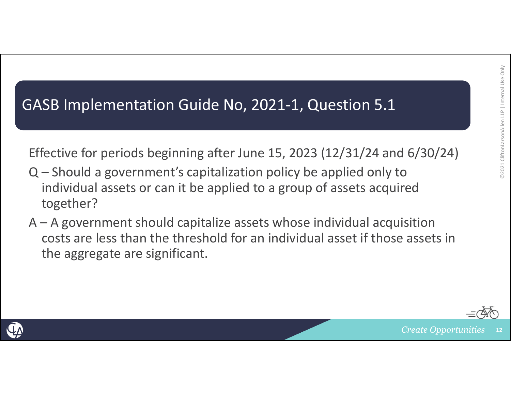### GASB Implementation Guide No, 2021‐1, Question 5.1

Effective for periods beginning after June 15, 2023 (12/31/24 and 6/30/24)

- Q Should <sup>a</sup> government's capitalization policy be applied only to individual assets or can it be applied to <sup>a</sup> group of assets acquired together?
- A A government should capitalize assets whose individual acquisition costs are less than the threshold for an individual asset if those assets inthe aggregate are significant.



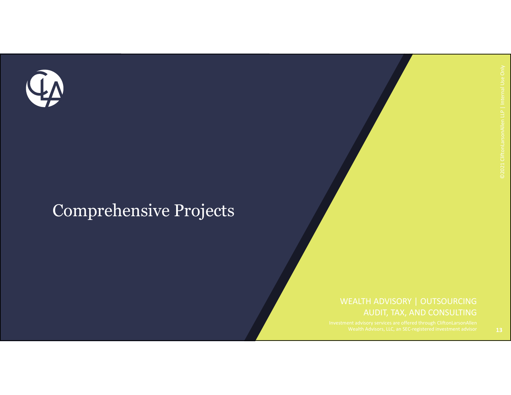

### Comprehensive Projects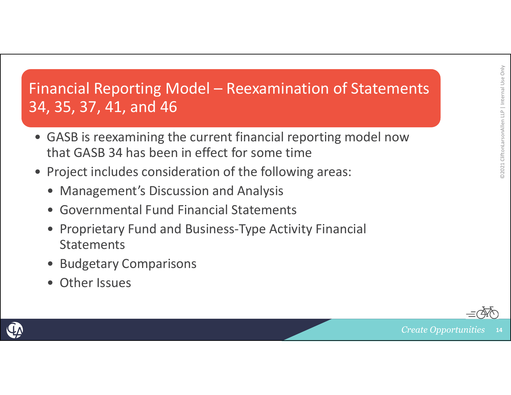### Financial Reporting Model – Reexamination of Statements 34, 35, 37, 41, and 46

- GASB is reexamining the current financial reporting model now that GASB 34 has been in effect for some time
- Project includes consideration of the following areas:
	- Management's Discussion and Analysis
	- Governmental Fund Financial Statements
	- Proprietary Fund and Business‐Type Activity Financial **Statements**
	- •Budgetary Comparisons
	- •Other Issues



**14**

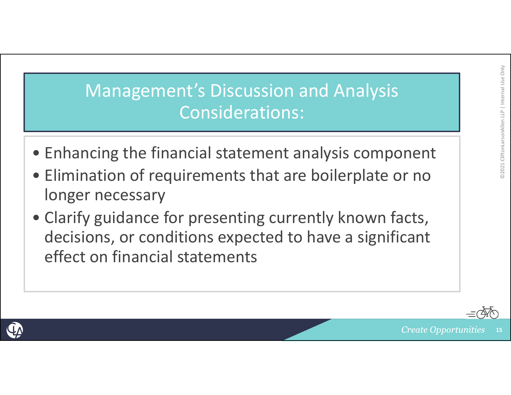# ©2021 CliftonLarsonAllen LLP 02021 CliftonLarsonAllen LLP | Internal Use Only Internal Use Only

### Management's Discussion and Analysis Considerations:

- Enhancing the financial statement analysis component
- Elimination of requirements that are boilerplate or no longer necessary
- Clarify guidance for presenting currently known facts, decisions, or conditions expected to have <sup>a</sup> significant effect on financial statements



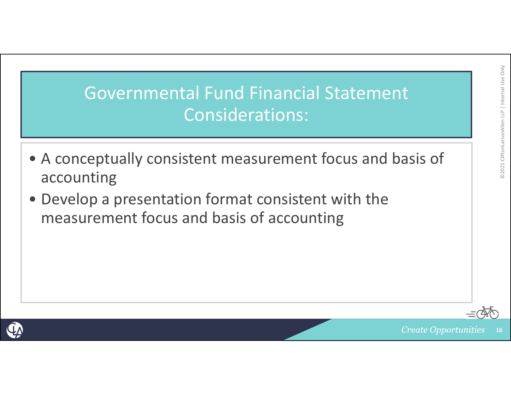### Governmental Fund Financial Statement Considerations:

- A conceptually consistent measurement focus and basis of accounting
- Develop <sup>a</sup> presentation format consistent with the measurement focus and basis of accounting





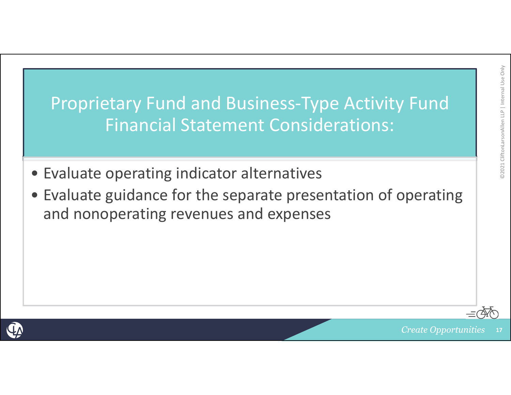Proprietary Fund and Business‐Type Activity Fund Financial Statement Considerations:

- Evaluate operating indicator alternatives
- Evaluate guidance for the separate presentation of operating and nonoperating revenues and expenses



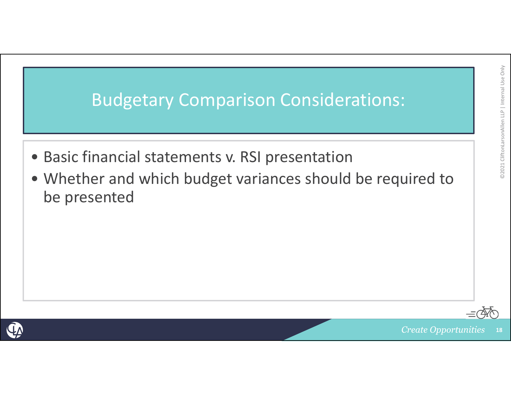

- Basic financial statements v. RSI presentation
- Whether and which budget variances should be required to be presented



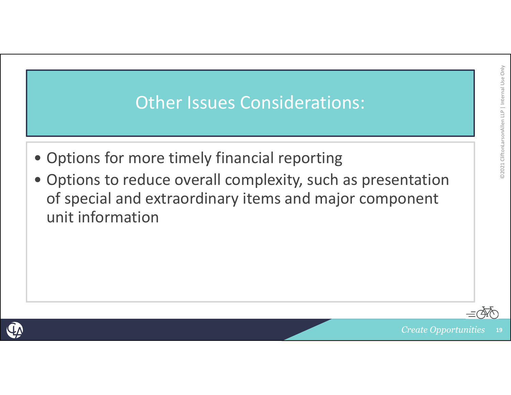### Other Issues Considerations:

- Options for more timely financial reporting
- Options to reduce overall complexity, such as presentation of special and extraordinary items and major component unit information



©2021 CliftonLarsonAllen LLP

@2021 CliftonLarsonAllen LLP | Internal Use Only

Internal Use Only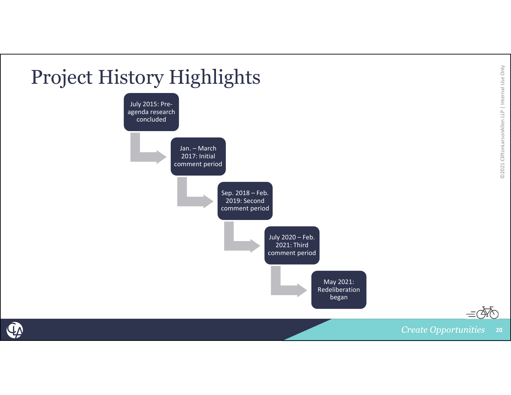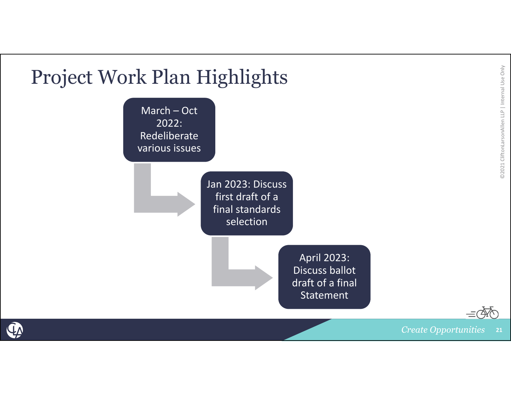

QA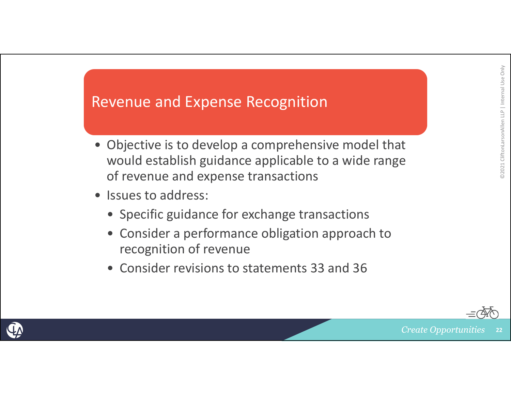### Revenue and Expense Recognition

- Objective is to develop <sup>a</sup> comprehensive model that would establish guidance applicable to <sup>a</sup> wide range of revenue and expense transactions
- Issues to address:
	- Specific guidance for exchange transactions
	- Consider a performance obligation approach to recognition of revenue
	- Consider revisions to statements 33 and 36



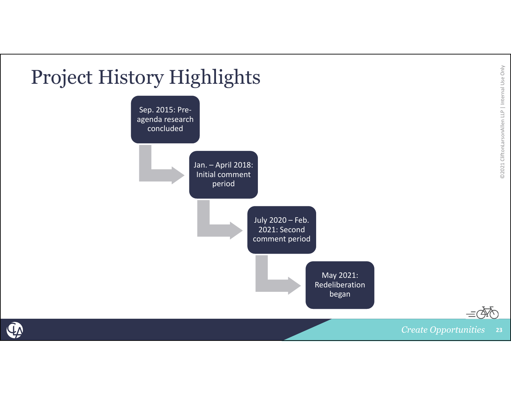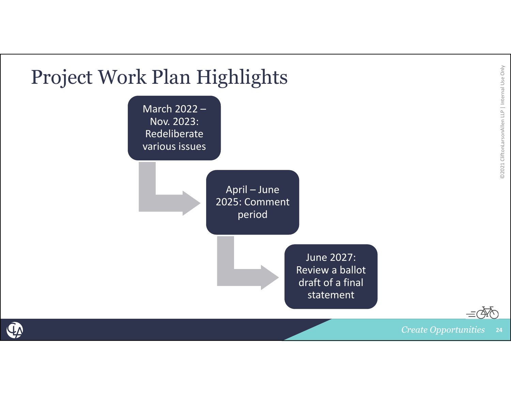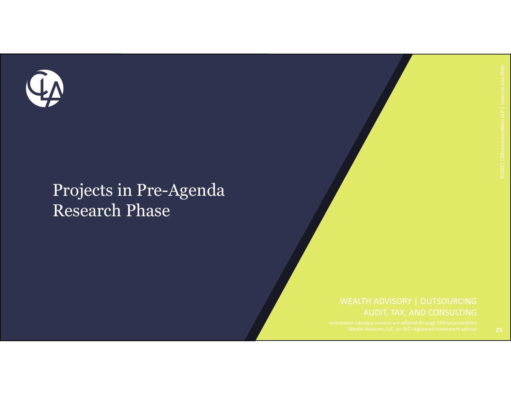

### Projects in Pre-Agenda Research Phase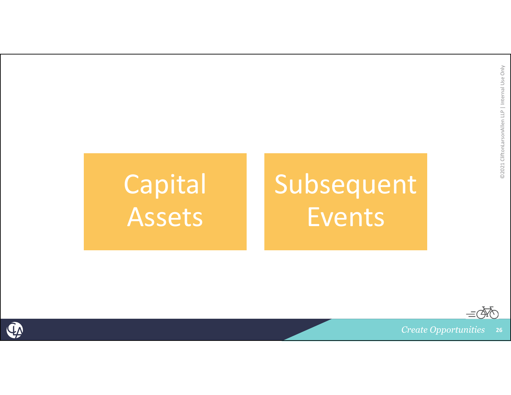## Capital Assets

# Subsequent Events

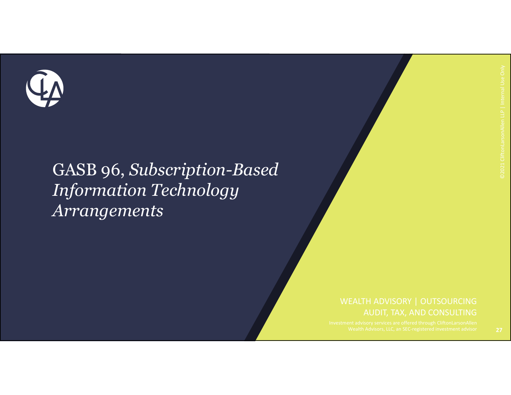

### GASB 96, *Subscription-Based Information Technology Arrangements*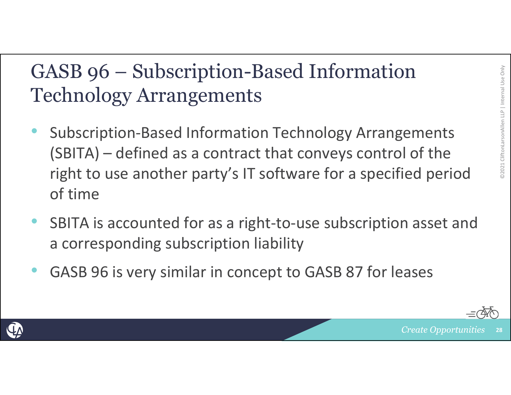### GASB 96 – Subscription-Based Information Technology Arrangements

- •• Subscription-Based Information Technology Arrangements (SBITA) – defined as a contract that conveys control of the right to use another party's IT software for a specified period of time
- •• SBITA is accounted for as a right-to-use subscription asset and a corresponding subscription liability
- •GASB 96 is very similar in concept to GASB 87 for leases



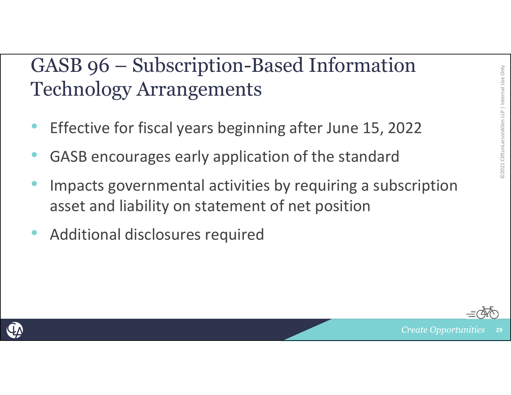### GASB 96 – Subscription-Based Information Technology Arrangements

- •Effective for fiscal years beginning after June 15, 2022
- •GASB encourages early application of the standard
- •• Impacts governmental activities by requiring a subscription asset and liability on statement of net position
- •Additional disclosures required



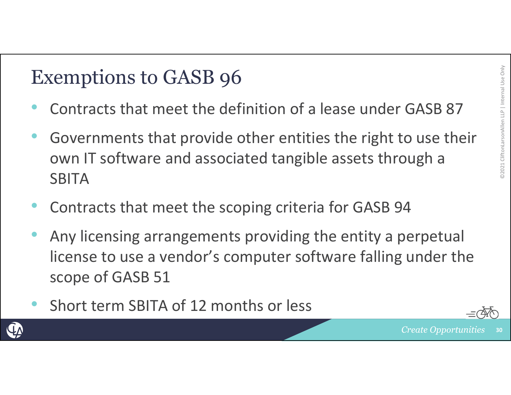- •Contracts that meet the definition of a lease under GASB 87
- Exemptions to GASB 96<br>• Contracts that meet the definition of a lease under GASB 87<br>• Governments that provide other entities the right to use their<br>οwn IT software and associated tangible assets through a • Governments that provide other entities the right to use their own IT software and associated tangible assets through a **SBITA**
- •Contracts that meet the scoping criteria for GASB 94
- • Any licensing arrangements providing the entity a perpetual license to use a vendor's computer software falling under the scope of GASB 51
- •• Short term SBITA of 12 months or less

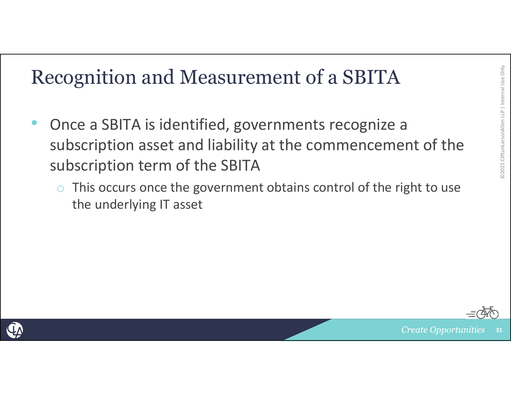- **Example 2021 Clientified Allen Luncher III Allen Luncher 2021**<br>
 Once a SBITA is identified, governments recognize a<br>
subscription asset and liability at the commencement of the<br>
subscription term of the SBITA •• Once a SBITA is identified, governments recognize a subscription asset and liability at the commencement of the subscription term of the SBITA
	- $\overline{O}$  This occurs once the government obtains control of the right to use the underlying IT asset



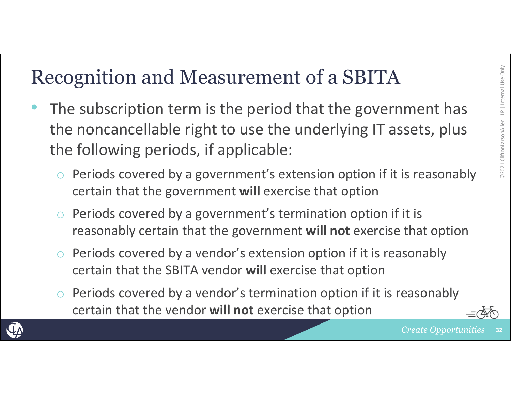- **Example 2021 Recognition and Measurement of a SBITA**<br>
 The subscription term is the period that the government has<br>
the noncancellable right to use the underlying IT assets, plus<br>
the following periods, if applicable:<br> • The subscription term is the period that the government has the noncancellable right to use the underlying IT assets, plus the following periods, if applicable:
	- o $\circ$  Periods covered by a government's extension option if it is reasonably certain that the government **will** exercise that option
	- o $\circ$  Periods covered by a government's termination option if it is reasonably certain that the government **will not** exercise that option
	- o Periods covered by a vendor's extension option if it is reasonably certain that the SBITA vendor **will** exercise that option
	- o Periods covered by a vendor's termination option if it is reasonably certain that the vendor **will not** exercise that option

**32**

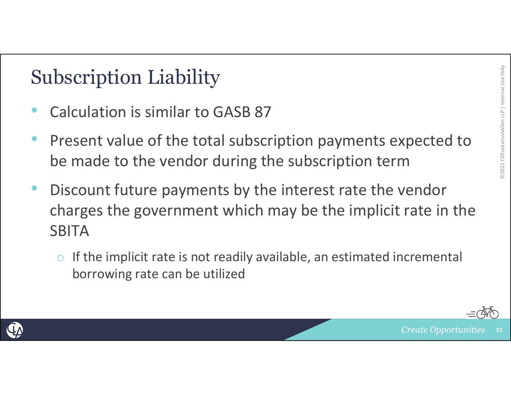- •• Calculation is similar to GASB 87
- **Subscription Liability**<br>• Calculation is similar to GASB 87<br>• Present value of the total subscription payments expected to<br>be made to the vendor during the subscription term • Present value of the total subscription payments expected to be made to the vendor during the subscription term
- • Discount future payments by the interest rate the vendor charges the government which may be the implicit rate in the **SBITA** 
	- o If the implicit rate is not readily available, an estimated incremental borrowing rate can be utilized



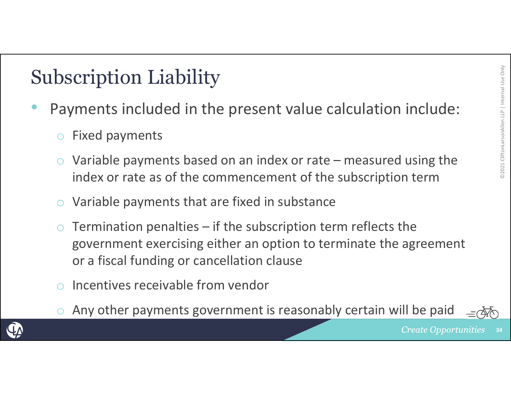- • Payments included in the present value calculation include:
	- oFixed payments
- **Subscription Liability**<br>
 Payments included in the present value calculation include:<br>  $\circ$  Fixed payments<br>  $\circ$  Variable payments based on an index or rate measured using the<br>
index or rate as of the commencement of o Variable payments based on an index or rate – measured using the index or rate as of the commencement of the subscription term
	- oVariable payments that are fixed in substance
	- o Termination penalties – if the subscription term reflects the government exercising either an option to terminate the agreement or a fiscal funding or cancellation clause
	- o $\circ$  Incentives receivable from vendor
	- oAny other payments government is reasonably certain will be paid

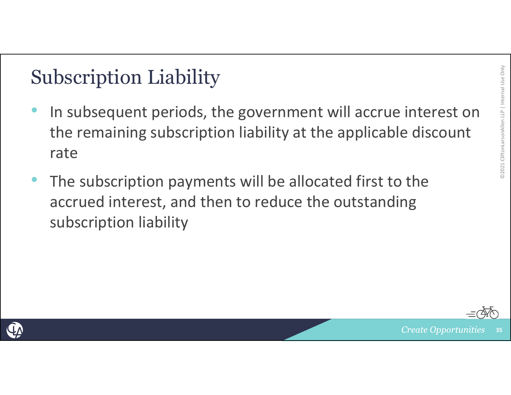- **Subscription Liability**<br>
 In subsequent periods, the government will accrue interest on<br>
the remaining subscription liability at the applicable discount<br>
rate •• In subsequent periods, the government will accrue interest on the remaining subscription liability at the applicable discount rate
- • The subscription payments will be allocated first to the accrued interest, and then to reduce the outstanding subscription liability



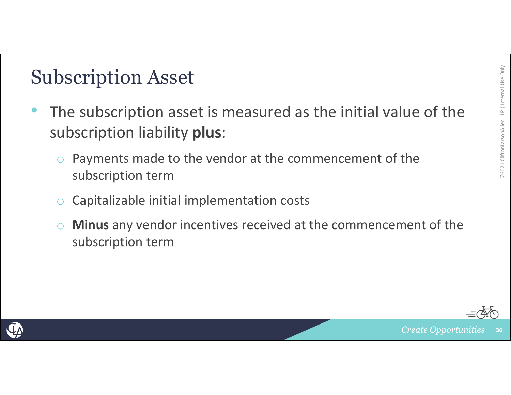- Internal Use Only Subscription Asset<br>
 The subscription asset is measured as the initial value of the subscription liability **plus**:
	- $\circ$  Payments made to the vendor at the commencement of the subscription term
	- $\bigcirc$ Capitalizable initial implementation costs
	- $\bigcirc$  **Minus** any vendor incentives received at the commencement of the subscription term



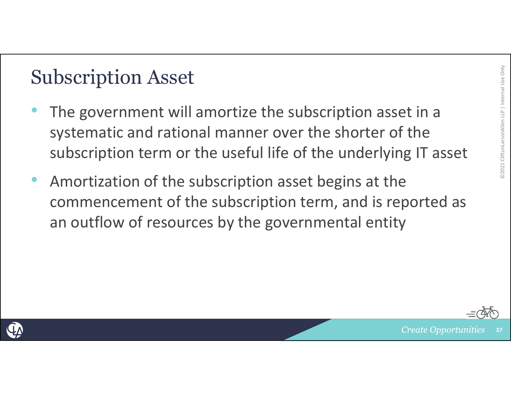- Internal Union Asset<br>
Internal Use of the subscription asset in a<br>
Internal Use of the subscription asset in a systematic and rational manner over the shorter of the subscription term or the useful life of the underlying IT asset
- • Amortization of the subscription asset begins at the commencement of the subscription term, and is reported as an outflow of resources by the governmental entity



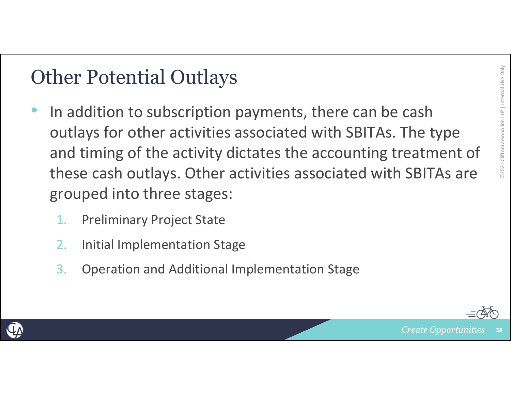- Other Potential Outlays<br>
 In addition to subscription payments, there can be cash<br>
outlays for other activities associated with SBITAs. The type<br>
and timing of the activity dictates the accounting treatment of<br>
these cash •• In addition to subscription payments, there can be cash outlays for other activities associated with SBITAs. The type and timing of the activity dictates the accounting treatment of these cash outlays. Other activities associated with SBITAs are grouped into three stages:
	- 1.Preliminary Project State
	- 2.Initial Implementation Stage
	- 3.Operation and Additional Implementation Stage



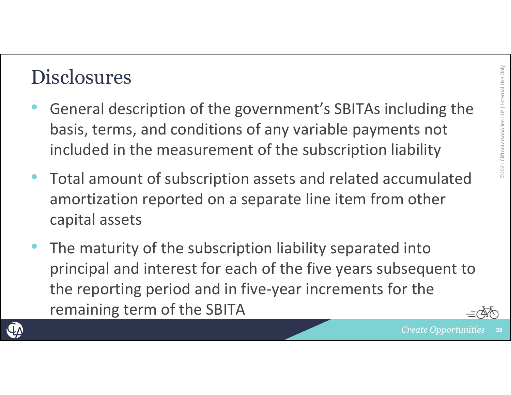- Disclosures General description of the government's SBITAs including the basis, terms, and conditions of any variable payments not included in the measurement of the subscription liability
- • Total amount of subscription assets and related accumulated amortization reported on <sup>a</sup> separate line item from other capital assets
- • The maturity of the subscription liability separated into principal and interest for each of the five years subsequent to the reporting period and in five‐year increments for the remaining term of the SBITA





**39**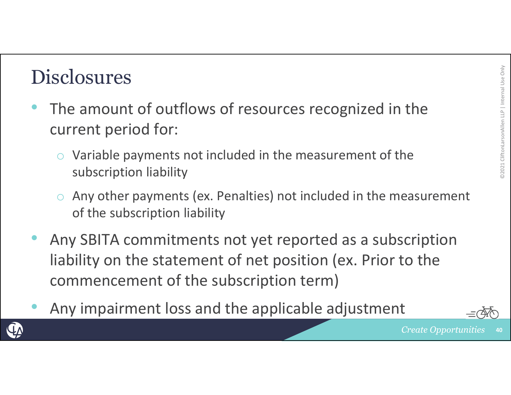- **Disclosures**<br>• The amount of outflows of resources recognized in the  $\frac{1}{2}$ current period for:
	- o Variable payments not included in the measurement of the subscription liability
	- $\circ$  Any other payments (ex. Penalties) not included in the measurement of the subscription liability
- • Any SBITA commitments not yet reported as <sup>a</sup> subscription liability on the statement of net position (ex. Prior to the commencement of the subscription term)
- •Any impairment loss and the applicable adjustment



**40**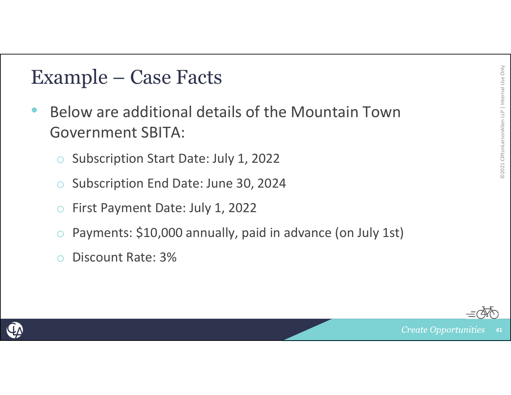- **Example Case Facts<br>• Below are additional details of the Mountain Town<br>
Government SBITA:<br>
Constant Date: July 1, 2022<br>
Constant Date: July 1, 2022** •**• Below are additional details of the Mountain Town** Government SBITA:
	- oSubscription Start Date: July 1, 2022
	- oSubscription End Date: June 30, 2024
	- $\bigcirc$ First Payment Date: July 1, 2022
	- $\bigcirc$ Payments: \$10,000 annually, paid in advance (on July 1st)
	- $\bigcap$ Discount Rate: 3%



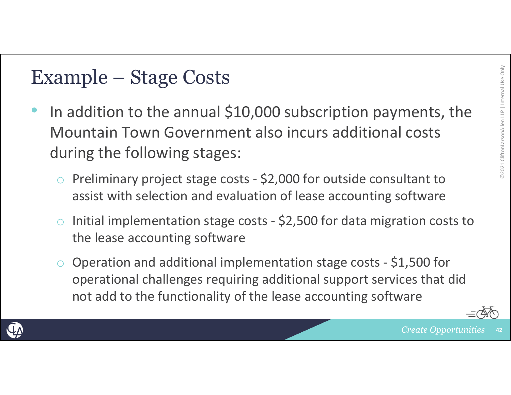- Example Stage Costs<br>
 In addition to the annual \$10,000 subscription payments, the<br>
Mountain Town Government also incurs additional costs<br>
during the following stages:<br>
Consultant to •• In addition to the annual \$10,000 subscription payments, the Mountain Town Government also incurs additional costs during the following stages:
	- o Preliminary project stage costs ‐ \$2,000 for outside consultant to assist with selection and evaluation of lease accounting software
	- o Initial implementation stage costs ‐ \$2,500 for data migration costs to the lease accounting software
	- o Operation and additional implementation stage costs ‐ \$1,500 for operational challenges requiring additional support services that did not add to the functionality of the lease accounting software



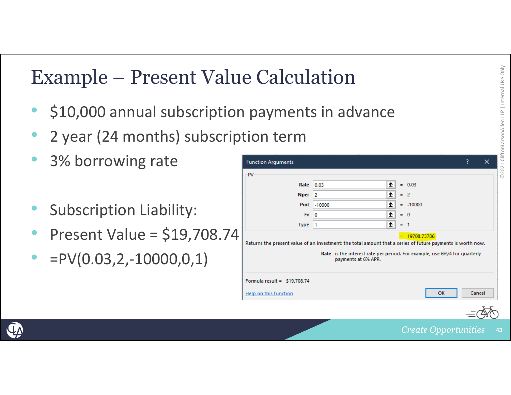# Example – Present Value Calculation<br>• \$10,000 annual subscription payments in advance<br>• 2 year (24 months) subscription term

- •\$10,000 annual subscription payments in advance
- •2 year (24 months) subscription term
- $\bullet$ • 3% borrowing rate
- •Subscription Liability:
- •• Present Value = \$19,708.74
- $\bullet$ •  $=PV(0.03, 2, -10000, 0, 1)$

| <b>PV</b>                     |             |          |                     |            |  |  |
|-------------------------------|-------------|----------|---------------------|------------|--|--|
|                               | Rate        | 0.03     | ±                   | $= 0.03$   |  |  |
|                               | <b>Nper</b> | 2        | ±                   | $= 2$      |  |  |
|                               | Pmt         | $-10000$ | 杢                   | $= -10000$ |  |  |
|                               | <b>Fv</b>   | 0        | 杢                   | $= 0$      |  |  |
|                               | <b>Type</b> | 1        | ÷                   | - 1<br>$=$ |  |  |
|                               |             |          | payments at 6% APR. |            |  |  |
|                               |             |          |                     |            |  |  |
| Formula result = $$19,708.74$ |             |          |                     |            |  |  |

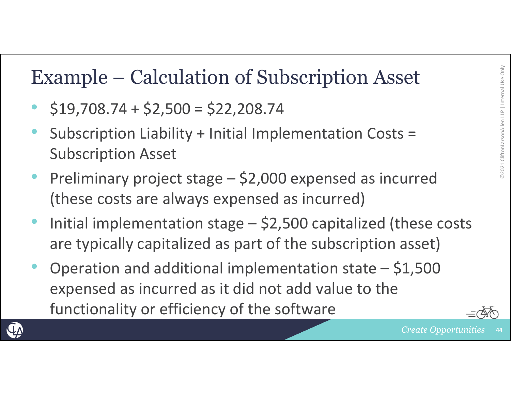- • $\cdot$  \$19,708.74 + \$2,500 = \$22,208.74
- Example Calculation of Subscription Asset<br>
 \$19,708.74 + \$2,500 = \$22,208.74<br>
 Subscription Liability + Initial Implementation Costs =<br>
Subscription Asset<br>
 Proliminary project stage, \$2,000 expensed as incurred •• Subscription Liability + Initial Implementation Costs = Subscription Asset
- • Preliminary project stage – \$2,000 expensed as incurred (these costs are always expensed as incurred)
- • Initial implementation stage – \$2,500 capitalized (these costs are typically capitalized as part of the subscription asset)
- • Operation and additional implementation state – \$1,500 expensed as incurred as it did not add value to the functionality or efficiency of the software



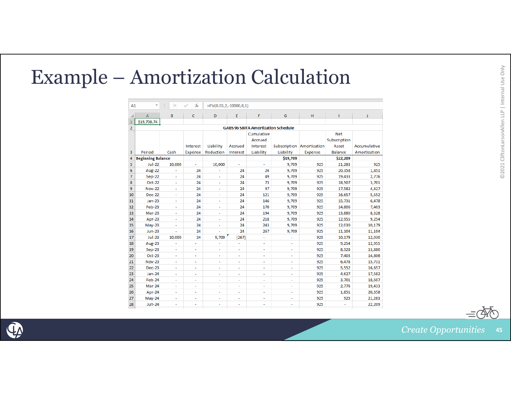| A1                             |                          | $\overline{\phantom{a}}$<br>$\times$<br>fx<br>÷<br>$=PV(0.03, 2, -10000, 0, 1)$<br>✓ |                  |                          |                  |                                   |                                            |                           |                              |                  |
|--------------------------------|--------------------------|--------------------------------------------------------------------------------------|------------------|--------------------------|------------------|-----------------------------------|--------------------------------------------|---------------------------|------------------------------|------------------|
|                                | A                        | B                                                                                    | c                | D                        | E.               | F.                                | G                                          | H                         |                              | J                |
| $\mathbf{1}$                   | \$19,708.74              |                                                                                      |                  |                          |                  |                                   |                                            |                           |                              |                  |
| $\overline{2}$                 |                          |                                                                                      |                  |                          |                  |                                   | <b>GABS 96 SBITA Amortization Schedule</b> |                           |                              |                  |
|                                |                          |                                                                                      | Interest         | Liability                | Accrued          | Cumulative<br>Accrued<br>Interest |                                            | Subscription Amortization | Net<br>Subscription<br>Asset | Accumulative     |
| $\overline{\mathbf{3}}$        | Period                   | Cash                                                                                 | Expense          | Reduction                | Interest         | Liability                         | Liability                                  | Expense                   | <b>Balance</b>               | Amortization     |
| $\overline{4}$                 | <b>Beginning Balance</b> |                                                                                      |                  |                          |                  |                                   | \$19,709                                   |                           | \$22,209                     |                  |
| $\overline{\mathbf{5}}$        | <b>Jul-22</b>            | 10,000                                                                               | $\sim$           | 10,000                   | $\sim$           | $\sim$                            | 9,709                                      | 925                       | 21,283                       | 925              |
| $\overline{6}$                 | Aug-22                   | $\sim$                                                                               | 24               | ٠                        | 24               | 24                                | 9,709                                      | 925                       | 20,358                       | 1,851            |
| $\overline{7}$                 | Sep-22                   | $\sim$                                                                               | 24               | $\sim$                   | 24               | 49                                | 9,709                                      | 925                       | 19,433                       | 2,776            |
| $\overline{\mathbf{g}}$        | Oct-22                   | $\Delta \phi$                                                                        | 24               | $\sim$                   | 24               | 73                                | 9,709                                      | 925                       | 18,507                       | 3,701            |
| $\overline{9}$                 | <b>Nov-22</b>            | $\sim$                                                                               | 24               | $\sim$                   | 24               | 97                                | 9,709                                      | 925                       | 17,582                       | 4,627            |
| $\overline{10}$                | <b>Dec-22</b>            | $\sim$                                                                               | 24               | $\sim$                   | 24               | 121                               | 9,709                                      | 925                       | 16,657                       | 5,552            |
| $\overline{11}$                | <b>Jan-23</b>            | $\sim$                                                                               | 24               | $\sim$                   | 24               | 146                               | 9,709                                      | 925                       | 15,731                       | 6,478            |
| $\frac{12}{13}$                | Feb-23                   | $\sim$                                                                               | 24               | $\sim$                   | 24               | 170                               | 9,709                                      | 925                       | 14,806                       | 7,403            |
|                                | Mar-23                   | $\sim$                                                                               | 24               | <b>COL</b>               | 24               | 194                               | 9,709                                      | 925                       | 13,880                       | 8,328            |
| $\overline{14}$                | Apr-23                   | $\sim$                                                                               | 24               | $\sim$                   | 24               | 218                               | 9,709                                      | 925                       | 12,955                       | 9,254            |
| 15<br>16                       | $May-23$                 | $\sim$                                                                               | 24               | $\sim$                   | 24               | 243                               | 9.709                                      | 925                       | 12,030                       | 10,179           |
| 17                             | <b>Jun-23</b>            | $\sim$                                                                               | 24               | $\sim$                   | 24               | 267                               | 9,709                                      | 925                       | 11,104                       | 11,104           |
| 18                             | <b>Jul-23</b>            | 10,000                                                                               | 24               | 9,709                    | (267)            | $\sim$                            | $\sim$                                     | 925                       | 10,179                       | 12,030           |
| 19                             | Aug-23                   | $\sim$<br>$\Delta \phi$                                                              | $\sim$           | ÷                        | $\sim$<br>$\sim$ | $\sim$                            | $\sim$                                     | 925                       | 9,254                        | 12,955           |
| $\overline{20}$                | Sep-23<br>Oct-23         | $\sim$                                                                               | $\sim$<br>$\sim$ | $\sim$<br>$\sim$         | a.               | $\sim$<br>$\sim$                  | $\sim$<br>$\sim$                           | 925<br>925                | 8,328<br>7,403               | 13,880<br>14,806 |
| 21                             | <b>Nov-23</b>            | $\sim$                                                                               | $\sim$           | $\sim$                   | $\sim$           | $\sim$                            | $\sim$                                     | 925                       | 6,478                        | 15,731           |
| $\overline{22}$                | Dec-23                   | $\sim$                                                                               | ÷.               | ÷                        | $\sim$           | ÷.                                | $\sim$                                     | 925                       | 5,552                        | 16,657           |
| 23                             | <b>Jan-24</b>            | $\sim$                                                                               | $\sim$           | $\sim$                   | $\sim$           | $\sim$                            | $\sim$                                     | 925                       | 4,627                        | 17,582           |
|                                | Feb-24                   | $\sim$                                                                               | $\sim$           | $\sim$                   | $\sim$           | $\sim$                            | $\sim$                                     | 925                       | 3,701                        | 18,507           |
|                                | Mar-24                   | $\sim$                                                                               | $\sim$           | $\overline{\phantom{a}}$ | $\sim$           | $\sim$                            | $\sim$                                     | 925                       | 2,776                        | 19,433           |
| $\frac{1}{24}$ $\frac{25}{26}$ | Apr-24                   | $\sim$                                                                               | $\sim$           | $\sim$                   | $\sim$           | $\sim$                            | $\sim$                                     | 925                       | 1,851                        | 20,358           |
| $\overline{27}$                | $May-24$                 | $\sim$                                                                               | $\sim$           | $\sim$                   | $\sim$           | $\sim$                            | <b>A</b>                                   | 925                       | 925                          | 21,283           |
| 28                             | <b>Jun-24</b>            | $\sim$                                                                               | $\sim$           | $\sim$                   | $\sim$           | $\sim$                            | $\sim$                                     | 925                       | $\sim$                       | 22,209           |



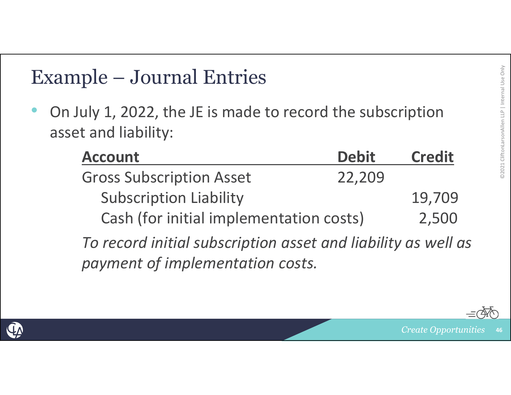Example – Journal Entries<br>
• On July 1, 2022, the JE is made to record the subscription<br>
asset and liability:<br>
<u>Account</u> Debit Credit<br>
Gross Subscription Asset 22,209 • On July 1, 2022, the JE is made to record the subscription asset and liability:

| <b>Account</b>                          | <b>Debit</b> | <b>Credit</b> |
|-----------------------------------------|--------------|---------------|
| <b>Gross Subscription Asset</b>         | 22,209       |               |
| <b>Subscription Liability</b>           |              | 19,709        |
| Cash (for initial implementation costs) |              | 2,500         |

*To record initial subscription asset and liability as well as payment of implementation costs.*

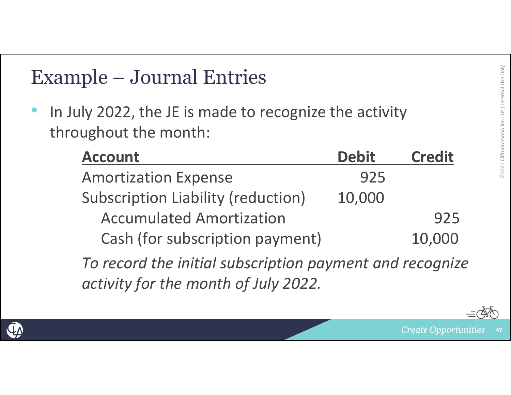Example – Journal Entries<br>
• In July 2022, the JE is made to recognize the activity<br>
throughout the month:<br> **Account**<br> **Amerization Expense** •• In July 2022, the JE is made to recognize the activity throughout the month:

| <b>Account</b>                            | <b>Debit</b> | <b>Credit</b> |
|-------------------------------------------|--------------|---------------|
| <b>Amortization Expense</b>               | 925          |               |
| <b>Subscription Liability (reduction)</b> | 10,000       |               |
| <b>Accumulated Amortization</b>           |              | 925           |
| Cash (for subscription payment)           |              | 10,000        |

*To record the initial subscription payment and recognize activity for the month of July 2022.*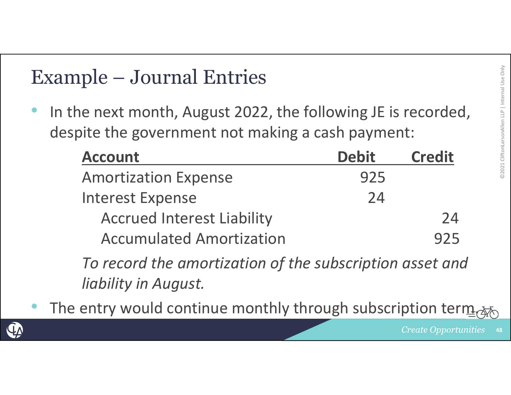Example – Journal Entries<br>
• In the next month, August 2022, the following JE is recorded,<br>
despite the government not making a cash payment:<br> **Account**<br> **Amerization Expense** •• In the next month, August 2022, the following JE is recorded, despite the government not making a cash payment:

| <b>Account</b>                                                                            | <b>Debit</b> | <b>Credit</b> |
|-------------------------------------------------------------------------------------------|--------------|---------------|
| <b>Amortization Expense</b>                                                               | 925          |               |
| <b>Interest Expense</b>                                                                   | 24           |               |
| <b>Accrued Interest Liability</b>                                                         |              | 24            |
| <b>Accumulated Amortization</b>                                                           |              | 925           |
| $T_{\alpha}$ uses useful the same outlined is a set the special continuation special sup- |              |               |

*To record the amortization of the subscription asset and liability in August.*

•• The entry would continue monthly through subscription term.

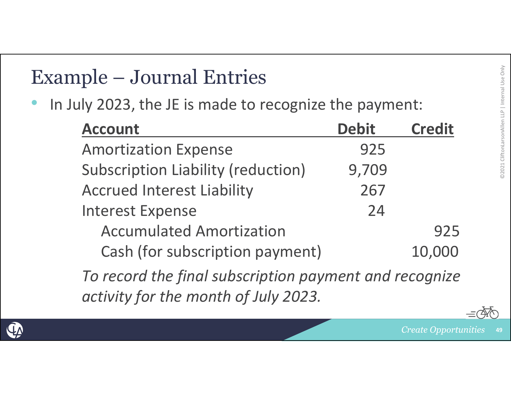| In July 2023, the JE is made to recognize the payment:                                         |              |               |
|------------------------------------------------------------------------------------------------|--------------|---------------|
| <b>Account</b>                                                                                 | <b>Debit</b> | <b>Credit</b> |
| <b>Amortization Expense</b>                                                                    | 925          |               |
| <b>Subscription Liability (reduction)</b>                                                      | 9,709        |               |
| <b>Accrued Interest Liability</b>                                                              | 267          |               |
| <b>Interest Expense</b>                                                                        | 24           |               |
| <b>Accumulated Amortization</b>                                                                |              | 925           |
| Cash (for subscription payment)                                                                |              | 10,000        |
| To record the final subscription payment and recognize<br>activity for the month of July 2023. |              |               |

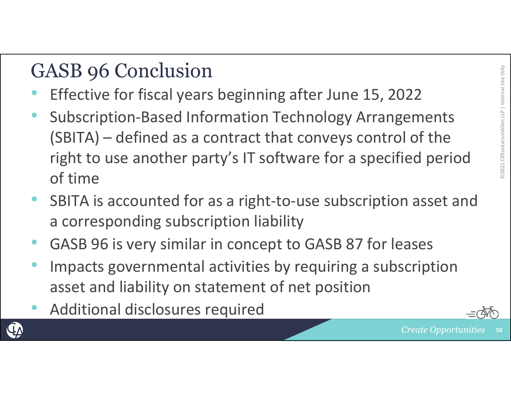- GASB 96 Conclusion<br>• Effective for fiscal years beginning after June 15, 2022 •Effective for fiscal years beginning after June 15, 2022
- • Subscription‐Based Information Technology Arrangements (SBITA) – defined as <sup>a</sup> contract that conveys control of the right to use another party's IT software for <sup>a</sup> specified period of time
- •● SBITA is accounted for as a right-to-use subscription asset and a corresponding subscription liability
- •GASB 96 is very similar in concept to GASB 87 for leases
- • Impacts governmental activities by requiring <sup>a</sup> subscription asset and liability on statement of net position
- •Additional disclosures required



**50**